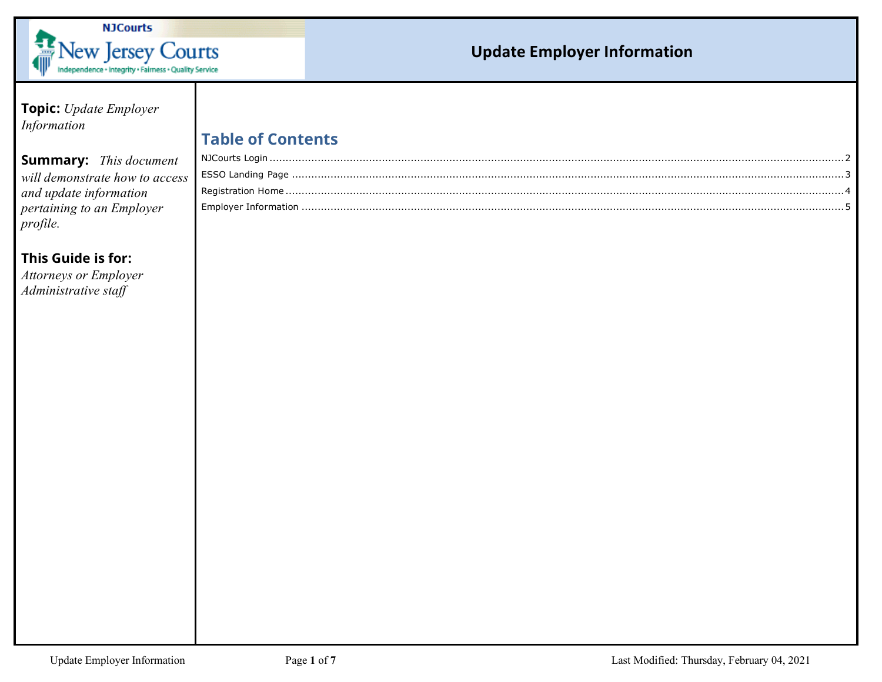

| Topic: Update Employer         |                          |  |
|--------------------------------|--------------------------|--|
| Information                    |                          |  |
|                                | <b>Table of Contents</b> |  |
| <b>Summary:</b> This document  |                          |  |
| will demonstrate how to access |                          |  |
| and update information         |                          |  |
| pertaining to an Employer      |                          |  |
| profile.                       |                          |  |
|                                |                          |  |
| This Guide is for:             |                          |  |
| <b>Attorneys or Employer</b>   |                          |  |
| Administrative staff           |                          |  |
|                                |                          |  |
|                                |                          |  |
|                                |                          |  |
|                                |                          |  |
|                                |                          |  |
|                                |                          |  |
|                                |                          |  |
|                                |                          |  |
|                                |                          |  |
|                                |                          |  |
|                                |                          |  |
|                                |                          |  |
|                                |                          |  |
|                                |                          |  |
|                                |                          |  |
|                                |                          |  |
|                                |                          |  |
|                                |                          |  |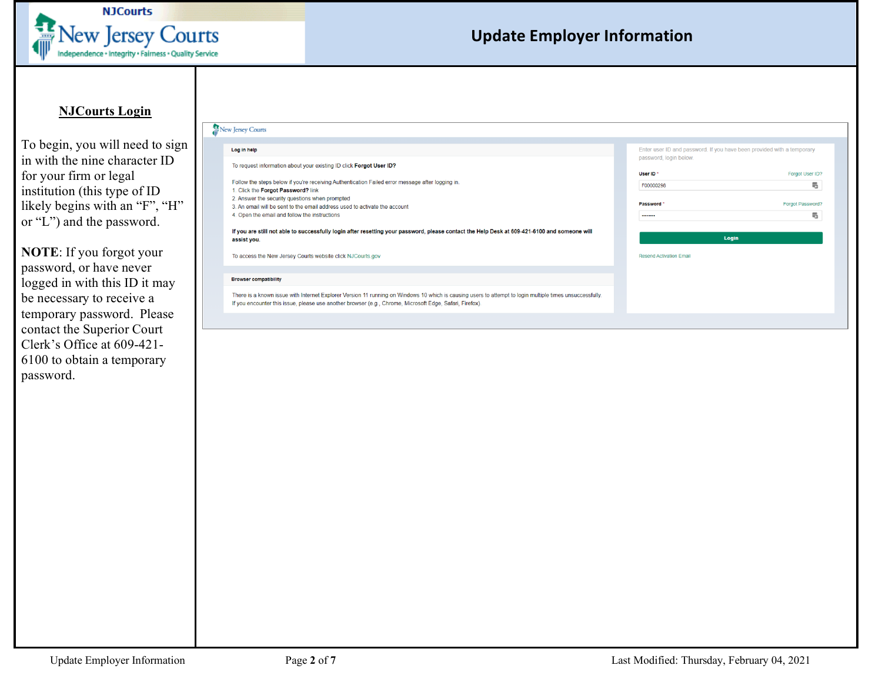

#### **NJCourts Login**

<span id="page-1-0"></span>To begin, you will need to sign in with the nine character ID for your firm or legal institution (this type of ID likely begins with an "F", "H" or "L") and the password.

**NOTE**: If you forgot your password, or have never logged in with this ID it may be necessary to receive a temporary password. Please contact the Superior Court Clerk's Office at 609-421- 6100 to obtain a temporary password.

| New Jersey Courts                                                                                                                                                                                                                                                    |                                                                                                  |                       |  |
|----------------------------------------------------------------------------------------------------------------------------------------------------------------------------------------------------------------------------------------------------------------------|--------------------------------------------------------------------------------------------------|-----------------------|--|
| Log in help                                                                                                                                                                                                                                                          | Enter user ID and password. If you have been provided with a temporary<br>password, login below. |                       |  |
| To request information about your existing ID click Forgot User ID?<br>Follow the steps below if you're receiving Authentication Failed error message after logging in.<br>I. Click the Forgot Password? link                                                        | User ID <sup>*</sup><br>F00000298                                                                | Forgot User ID?<br>畾  |  |
| 2. Answer the security questions when prompted<br>3. An email will be sent to the email address used to activate the account<br>4. Open the email and follow the instructions                                                                                        | Password '<br>                                                                                   | Forgot Password?<br>畾 |  |
| If you are still not able to successfully login after resetting your password, please contact the Help Desk at 609-421-6100 and someone will<br>assist you.                                                                                                          |                                                                                                  | Login                 |  |
| To access the New Jersey Courts website click NJCourts.gov<br><b>Browser compatibility</b>                                                                                                                                                                           | <b>Resend Activation Email</b>                                                                   |                       |  |
| There is a known issue with Internet Explorer Version 11 running on Windows 10 which is causing users to attempt to login multiple times unsuccessfully.<br>If you encounter this issue, please use another browser (e.g., Chrome, Microsoft Edge, Safari, Firefox). |                                                                                                  |                       |  |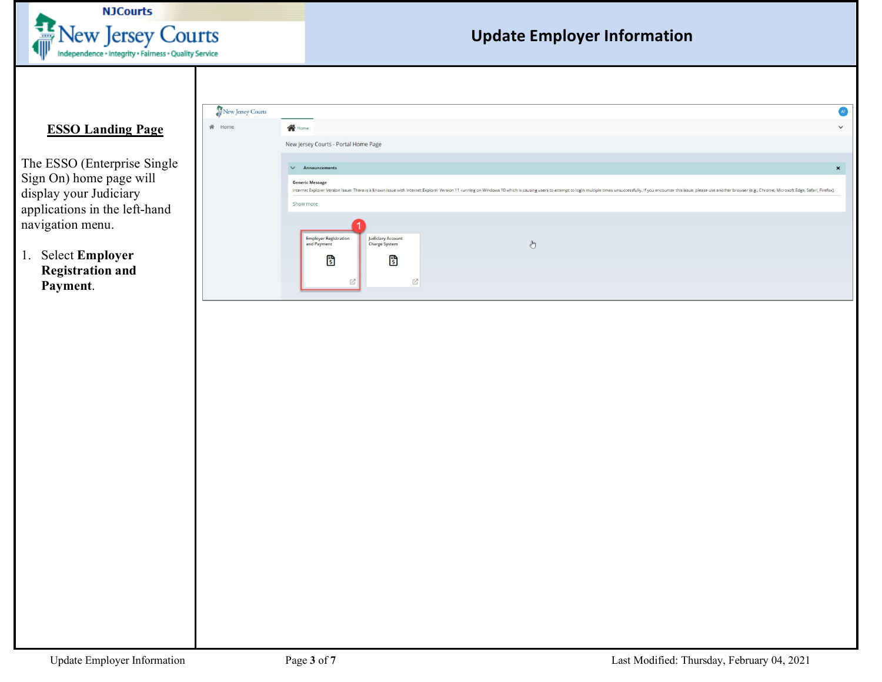

### <span id="page-2-0"></span>**ESSO Landing Page**

The ESSO (Enterprise Single Sign On) home page will display your Judiciary applications in the left-hand navigation menu.

1. Select Employer **Registration and** Payment.

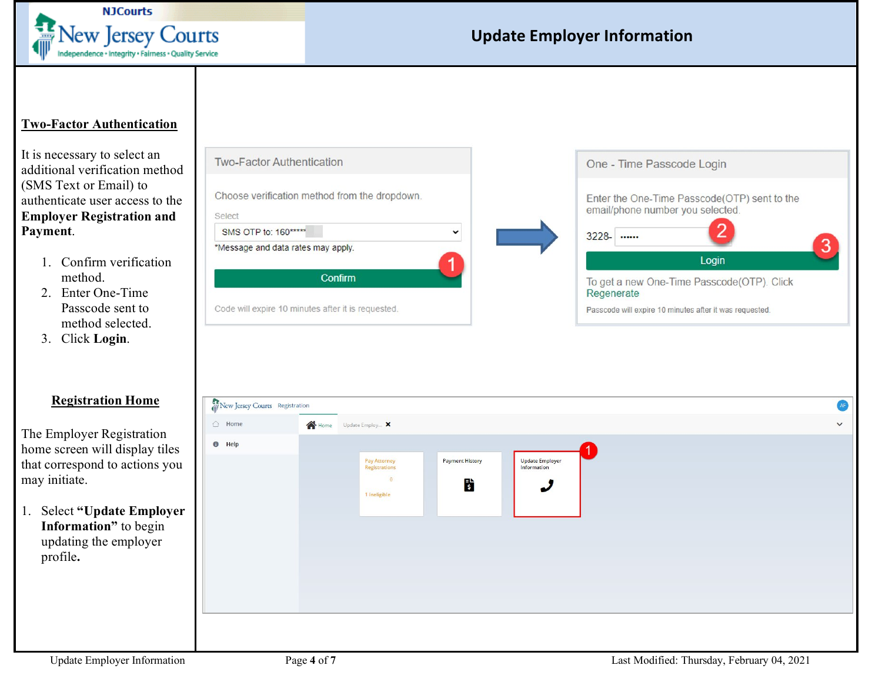

#### <span id="page-3-0"></span>**Two-Factor Authentication**

It is necessary to select an additional verification method (SMS Text or Email) to authenticate user access to the **Employer Registration and Payment**.

- 1. Confirm verification method.
- 2. Enter One-Time Passcode sent to method selected.
- 3. Click **Login**.

#### **Registration Home**

The Employer Registration home screen will display tiles that correspond to actions you may initiate.

1. Select **"Update Employer Information"** to begin updating the employer profile**.** 

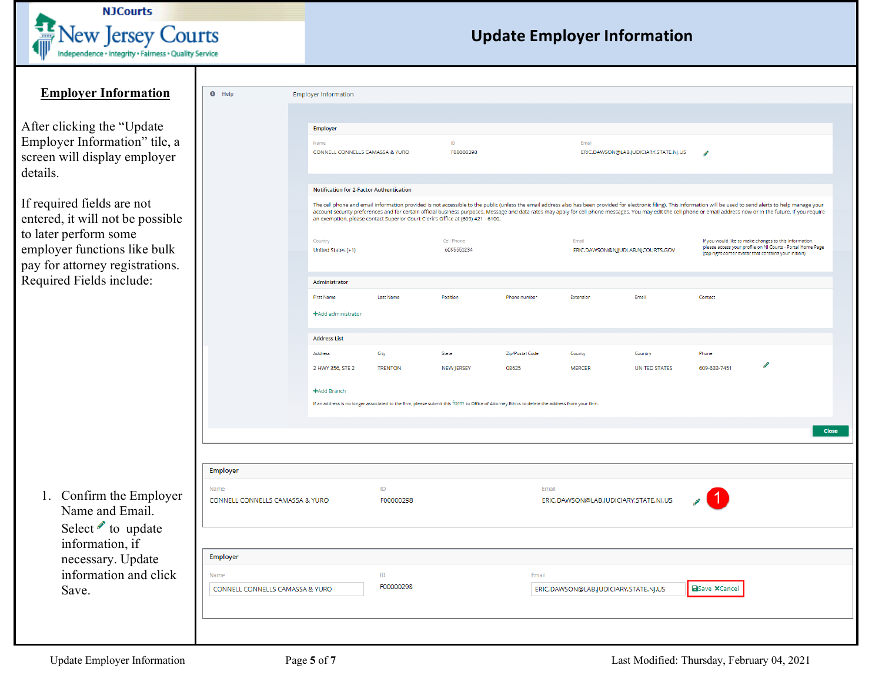

<span id="page-4-0"></span>

| <b>Employer Information</b>                                                                                                                                | $\bullet$ Help                                      | <b>Employer Information</b>                                               |                        |                                                                                                             |                                                                                                                                               |                                                |                                       |                                                                                                                                                                                                                                                                                                                                                                                                                                                                                                                                                                                                                                                                                                                             |  |
|------------------------------------------------------------------------------------------------------------------------------------------------------------|-----------------------------------------------------|---------------------------------------------------------------------------|------------------------|-------------------------------------------------------------------------------------------------------------|-----------------------------------------------------------------------------------------------------------------------------------------------|------------------------------------------------|---------------------------------------|-----------------------------------------------------------------------------------------------------------------------------------------------------------------------------------------------------------------------------------------------------------------------------------------------------------------------------------------------------------------------------------------------------------------------------------------------------------------------------------------------------------------------------------------------------------------------------------------------------------------------------------------------------------------------------------------------------------------------------|--|
| After clicking the "Update<br>Employer Information" tile, a<br>screen will display employer<br>details.                                                    |                                                     | Employer<br>Name<br>CONNELL CONNELLS CAMASSA & YURO                       |                        | ID<br>F00000298                                                                                             |                                                                                                                                               | Email                                          | ERIC.DAWSON@LAB.JUDICIARY.STATE.NJ.US | ℐ                                                                                                                                                                                                                                                                                                                                                                                                                                                                                                                                                                                                                                                                                                                           |  |
| If required fields are not<br>entered, it will not be possible<br>to later perform some<br>employer functions like bulk<br>pay for attorney registrations. |                                                     | Notification for 2-Factor Authentication<br>Country<br>United States (+1) |                        | an exemption, please contact Superior Court Clerk's Office at (609) 421 - 6100.<br>Cell Phone<br>6095551234 |                                                                                                                                               | Email                                          | ERIC.DAWSON@NJJUDLAB.NJCOURTS.GOV     | The cell phone and email information provided is not accessible to the public (unless the email address also has been provided for electronic filing). This information will be used to send alerts to help manage your<br>account security preferences and for certain official business purposes. Message and data rates may apply for cell phone messages. You may edit the cell phone or email address now or in the future. If you require<br>If you would like to make changes to this information,<br>please access your profile on NJ Courts - Portal Home Page<br>(top right corner avatar that contains your initials).<br>Contact<br>Phone<br>Í<br>609-633-7451<br><b>Close</b><br><b>B</b> Save <b>X</b> Cancel |  |
| Required Fields include:                                                                                                                                   |                                                     | Administrator<br><b>First Name</b><br>+Add administrator                  | <b>Last Name</b>       | Position                                                                                                    | Phone number                                                                                                                                  | Extension                                      | Email                                 |                                                                                                                                                                                                                                                                                                                                                                                                                                                                                                                                                                                                                                                                                                                             |  |
|                                                                                                                                                            |                                                     | <b>Address List</b><br>Address<br>2 HWY 356, STE 2<br>+Add Branch         | City<br><b>TRENTON</b> | State<br><b>NEW JERSEY</b>                                                                                  | Zip/Postal Code<br>08625                                                                                                                      | County<br><b>MERCER</b>                        | Country<br><b>UNITED STATES</b>       |                                                                                                                                                                                                                                                                                                                                                                                                                                                                                                                                                                                                                                                                                                                             |  |
|                                                                                                                                                            |                                                     |                                                                           |                        |                                                                                                             | If an address is no longer associated to the firm, please submit this form to Office of Attorney Ethics to delete the address from your firm. |                                                |                                       |                                                                                                                                                                                                                                                                                                                                                                                                                                                                                                                                                                                                                                                                                                                             |  |
| 1. Confirm the Employer<br>Name and Email.<br>Select to update                                                                                             | Employer<br>Name<br>CONNELL CONNELLS CAMASSA & YURO |                                                                           | ID<br>F00000298        |                                                                                                             | Email                                                                                                                                         |                                                | ERIC.DAWSON@LAB.JUDICIARY.STATE.NJ.US |                                                                                                                                                                                                                                                                                                                                                                                                                                                                                                                                                                                                                                                                                                                             |  |
| information, if<br>necessary. Update<br>information and click<br>Save.                                                                                     | Employer<br>Name<br>CONNELL CONNELLS CAMASSA & YURO | ID<br>F00000298                                                           |                        |                                                                                                             |                                                                                                                                               | Email<br>ERIC.DAWSON@LAB.JUDICIARY.STATE.NJ.US |                                       |                                                                                                                                                                                                                                                                                                                                                                                                                                                                                                                                                                                                                                                                                                                             |  |
|                                                                                                                                                            |                                                     |                                                                           |                        |                                                                                                             |                                                                                                                                               |                                                |                                       |                                                                                                                                                                                                                                                                                                                                                                                                                                                                                                                                                                                                                                                                                                                             |  |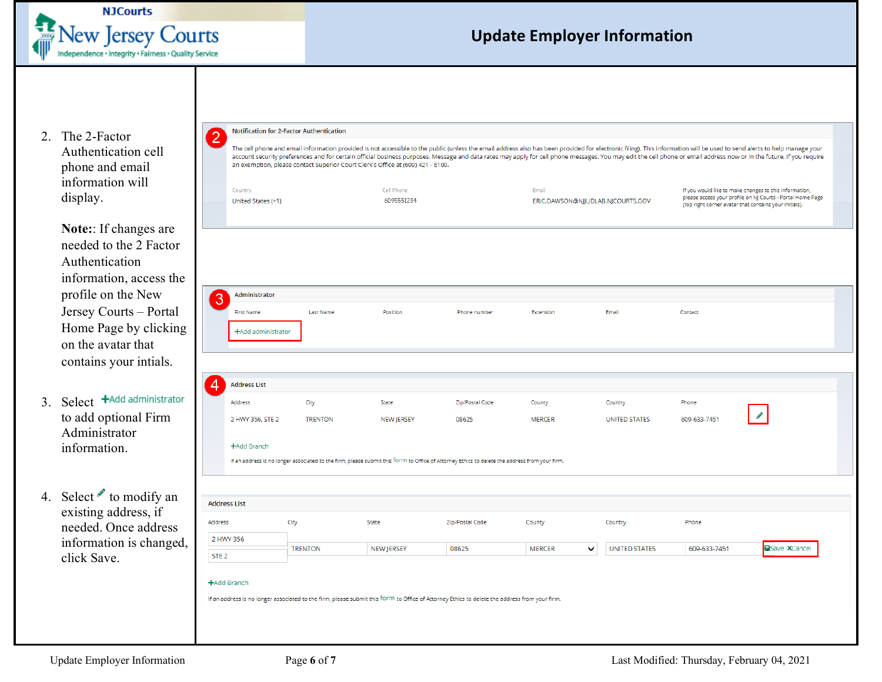